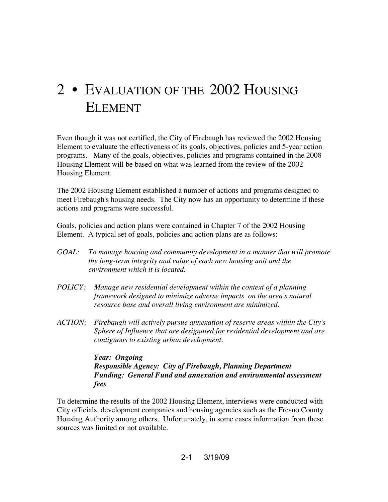# 2 • EVALUATION OF THE 2002 HOUSING ELEMENT

Even though it was not certified, the City of Firebaugh has reviewed the 2002 Housing Element to evaluate the effectiveness of its goals, objectives, policies and 5-year action programs. Many of the goals, objectives, policies and programs contained in the 2008 Housing Element will be based on what was learned from the review of the 2002 Housing Element.

The 2002 Housing Element established a number of actions and programs designed to meet Firebaugh's housing needs. The City now has an opportunity to determine if these actions and programs were successful.

Goals, policies and action plans were contained in Chapter 7 of the 2002 Housing Element. A typical set of goals, policies and action plans are as follows:

- *GOAL: To manage housing and community development in a manner that will promote the long-term integrity and value of each new housing unit and the environment which it is located.*
- *POLICY: Manage new residential development within the context of a planning framework designed to minimize adverse impacts on the area's natural resource base and overall living environment are minimized.*
- *ACTION*: *Firebaugh will actively pursue annexation of reserve areas within the City's Sphere of Influence that are designated for residential development and are contiguous to existing urban development.*

*Year: Ongoing Responsible Agency: City of Firebaugh, Planning Department Funding: General Fund and annexation and environmental assessment fees*

To determine the results of the 2002 Housing Element, interviews were conducted with City officials, development companies and housing agencies such as the Fresno County Housing Authority among others. Unfortunately, in some cases information from these sources was limited or not available.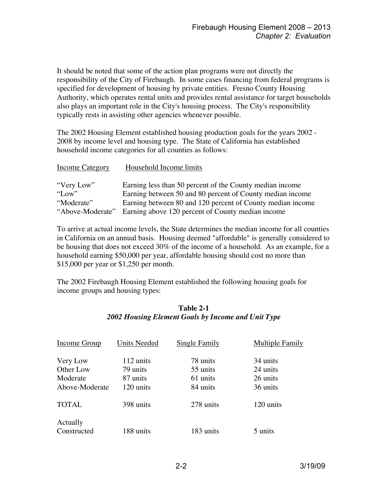It should be noted that some of the action plan programs were not directly the responsibility of the City of Firebaugh. In some cases financing from federal programs is specified for development of housing by private entities. Fresno County Housing Authority, which operates rental units and provides rental assistance for target households also plays an important role in the City's housing process. The City's responsibility typically rests in assisting other agencies whenever possible.

The 2002 Housing Element established housing production goals for the years 2002 - 2008 by income level and housing type. The State of California has established household income categories for all counties as follows:

| Income Category  | Household Income limits                                    |
|------------------|------------------------------------------------------------|
| "Very Low"       | Earning less than 50 percent of the County median income   |
| "Low"            | Earning between 50 and 80 percent of County median income  |
| "Moderate"       | Earning between 80 and 120 percent of County median income |
| "Above-Moderate" | Earning above 120 percent of County median income          |

To arrive at actual income levels, the State determines the median income for all counties in California on an annual basis. Housing deemed "affordable" is generally considered to be housing that does not exceed 30% of the income of a household. As an example, for a household earning \$50,000 per year, affordable housing should cost no more than \$15,000 per year or \$1,250 per month.

The 2002 Firebaugh Housing Element established the following housing goals for income groups and housing types:

### **Table 2-1** *2002 Housing Element Goals by Income and Unit Type*

| Income Group            | <b>Units Needed</b> | Single Family | Multiple Family |
|-------------------------|---------------------|---------------|-----------------|
| Very Low                | 112 units           | 78 units      | 34 units        |
| Other Low               | 79 units            | 55 units      | 24 units        |
| Moderate                | 87 units            | 61 units      | 26 units        |
| Above-Moderate          | 120 units           | 84 units      | 36 units        |
| <b>TOTAL</b>            | 398 units           | 278 units     | 120 units       |
| Actually<br>Constructed | 188 units           | 183 units     | 5 units         |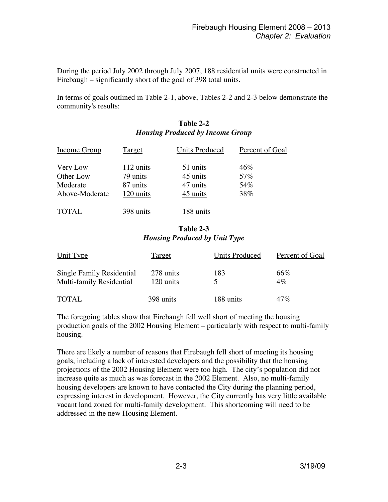During the period July 2002 through July 2007, 188 residential units were constructed in Firebaugh – significantly short of the goal of 398 total units.

In terms of goals outlined in Table 2-1, above, Tables 2-2 and 2-3 below demonstrate the community's results:

# **Table 2-2** *Housing Produced by Income Group*

| <b>Income Group</b> | <b>Target</b> | <b>Units Produced</b> | Percent of Goal |
|---------------------|---------------|-----------------------|-----------------|
| Very Low            | 112 units     | 51 units              | 46%             |
| Other Low           | 79 units      | 45 units              | 57%             |
| Moderate            | 87 units      | 47 units              | 54%             |
| Above-Moderate      | 120 units     | 45 units              | 38%             |
| <b>TOTAL</b>        | 398 units     | 188 units             |                 |

#### **Table 2-3** *Housing Produced by Unit Type*

| Unit Type                                             | <u>Target</u>          | <b>Units Produced</b> | Percent of Goal |
|-------------------------------------------------------|------------------------|-----------------------|-----------------|
| Single Family Residential<br>Multi-family Residential | 278 units<br>120 units | 183                   | 66%<br>$4\%$    |
| <b>TOTAL</b>                                          | 398 units              | 188 units             | 47%             |

The foregoing tables show that Firebaugh fell well short of meeting the housing production goals of the 2002 Housing Element – particularly with respect to multi-family housing.

There are likely a number of reasons that Firebaugh fell short of meeting its housing goals, including a lack of interested developers and the possibility that the housing projections of the 2002 Housing Element were too high. The city's population did not increase quite as much as was forecast in the 2002 Element. Also, no multi-family housing developers are known to have contacted the City during the planning period, expressing interest in development. However, the City currently has very little available vacant land zoned for multi-family development. This shortcoming will need to be addressed in the new Housing Element.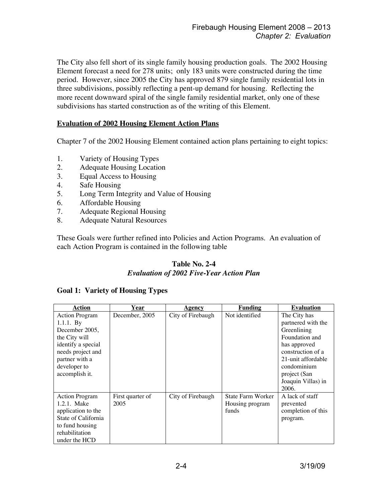The City also fell short of its single family housing production goals. The 2002 Housing Element forecast a need for 278 units; only 183 units were constructed during the time period. However, since 2005 the City has approved 879 single family residential lots in three subdivisions, possibly reflecting a pent-up demand for housing. Reflecting the more recent downward spiral of the single family residential market, only one of these subdivisions has started construction as of the writing of this Element.

#### **Evaluation of 2002 Housing Element Action Plans**

Chapter 7 of the 2002 Housing Element contained action plans pertaining to eight topics:

- 1. Variety of Housing Types
- 2. Adequate Housing Location
- 3. Equal Access to Housing
- 4. Safe Housing
- 5. Long Term Integrity and Value of Housing
- 6. Affordable Housing
- 7. Adequate Regional Housing
- 8. Adequate Natural Resources

These Goals were further refined into Policies and Action Programs. An evaluation of each Action Program is contained in the following table

# **Table No. 2-4**

#### *Evaluation of 2002 Five-Year Action Plan*

| <b>Action</b>         | Year             | Agency            | <u>Funding</u>    | <b>Evaluation</b>  |
|-----------------------|------------------|-------------------|-------------------|--------------------|
| <b>Action Program</b> | December, 2005   | City of Firebaugh | Not identified    | The City has       |
| $1.1.1.$ By           |                  |                   |                   | partnered with the |
| December 2005,        |                  |                   |                   | Greenlining        |
| the City will         |                  |                   |                   | Foundation and     |
| identify a special    |                  |                   |                   | has approved       |
| needs project and     |                  |                   |                   | construction of a  |
| partner with a        |                  |                   |                   | 21-unit affordable |
| developer to          |                  |                   |                   | condominium        |
| accomplish it.        |                  |                   |                   | project (San       |
|                       |                  |                   |                   | Joaquin Villas) in |
|                       |                  |                   |                   | 2006.              |
| <b>Action Program</b> | First quarter of | City of Firebaugh | State Farm Worker | A lack of staff    |
| 1.2.1. Make           | 2005             |                   | Housing program   | prevented          |
| application to the    |                  |                   | funds             | completion of this |
| State of California   |                  |                   |                   | program.           |
| to fund housing       |                  |                   |                   |                    |
| rehabilitation        |                  |                   |                   |                    |
| under the HCD         |                  |                   |                   |                    |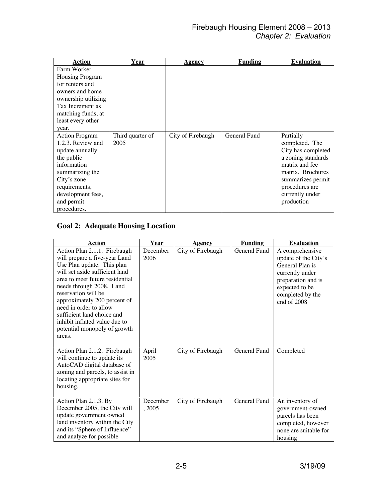| Action                | <u>Year</u>      | Agency            | <b>Funding</b> | <b>Evaluation</b>  |
|-----------------------|------------------|-------------------|----------------|--------------------|
| Farm Worker           |                  |                   |                |                    |
| Housing Program       |                  |                   |                |                    |
| for renters and       |                  |                   |                |                    |
| owners and home       |                  |                   |                |                    |
| ownership utilizing   |                  |                   |                |                    |
| Tax Increment as      |                  |                   |                |                    |
| matching funds, at    |                  |                   |                |                    |
| least every other     |                  |                   |                |                    |
| year.                 |                  |                   |                |                    |
| <b>Action Program</b> | Third quarter of | City of Firebaugh | General Fund   | Partially          |
| 1.2.3. Review and     | 2005             |                   |                | completed. The     |
| update annually       |                  |                   |                | City has completed |
| the public            |                  |                   |                | a zoning standards |
| information           |                  |                   |                | matrix and fee     |
| summarizing the       |                  |                   |                | matrix. Brochures  |
| City's zone           |                  |                   |                | summarizes permit  |
| requirements,         |                  |                   |                | procedures are     |
| development fees,     |                  |                   |                | currently under    |
| and permit            |                  |                   |                | production         |
| procedures.           |                  |                   |                |                    |

# **Goal 2: Adequate Housing Location**

| <b>Action</b>                                                                                                                                                                                                                                                                                                                                                                          | Year               | <b>Agency</b>     | <b>Funding</b> | <b>Evaluation</b>                                                                                                                                        |
|----------------------------------------------------------------------------------------------------------------------------------------------------------------------------------------------------------------------------------------------------------------------------------------------------------------------------------------------------------------------------------------|--------------------|-------------------|----------------|----------------------------------------------------------------------------------------------------------------------------------------------------------|
| Action Plan 2.1.1. Firebaugh<br>will prepare a five-year Land<br>Use Plan update. This plan<br>will set aside sufficient land<br>area to meet future residential<br>needs through 2008. Land<br>reservation will be<br>approximately 200 percent of<br>need in order to allow<br>sufficient land choice and<br>inhibit inflated value due to<br>potential monopoly of growth<br>areas. | December<br>2006   | City of Firebaugh | General Fund   | A comprehensive<br>update of the City's<br>General Plan is<br>currently under<br>preparation and is<br>expected to be<br>completed by the<br>end of 2008 |
| Action Plan 2.1.2. Firebaugh<br>will continue to update its<br>AutoCAD digital database of<br>zoning and parcels, to assist in<br>locating appropriate sites for<br>housing.                                                                                                                                                                                                           | April<br>2005      | City of Firebaugh | General Fund   | Completed                                                                                                                                                |
| Action Plan 2.1.3. By<br>December 2005, the City will<br>update government owned<br>land inventory within the City<br>and its "Sphere of Influence"<br>and analyze for possible                                                                                                                                                                                                        | December<br>, 2005 | City of Firebaugh | General Fund   | An inventory of<br>government-owned<br>parcels has been<br>completed, however<br>none are suitable for<br>housing                                        |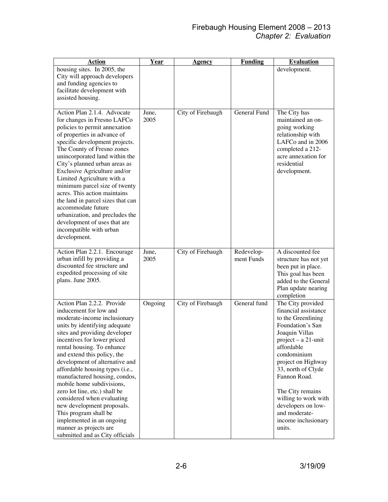| <b>Action</b>                                                                                                                                                                                                                                                                                                                                                                                                                                                                                                                                                                                         | <b>Year</b>   | <u>Agency</u>     | <b>Funding</b>           | <b>Evaluation</b>                                                                                                                                                                                                                                                                                                                         |
|-------------------------------------------------------------------------------------------------------------------------------------------------------------------------------------------------------------------------------------------------------------------------------------------------------------------------------------------------------------------------------------------------------------------------------------------------------------------------------------------------------------------------------------------------------------------------------------------------------|---------------|-------------------|--------------------------|-------------------------------------------------------------------------------------------------------------------------------------------------------------------------------------------------------------------------------------------------------------------------------------------------------------------------------------------|
| housing sites. In 2005, the<br>City will approach developers<br>and funding agencies to<br>facilitate development with<br>assisted housing.                                                                                                                                                                                                                                                                                                                                                                                                                                                           |               |                   |                          | development.                                                                                                                                                                                                                                                                                                                              |
| Action Plan 2.1.4. Advocate<br>for changes in Fresno LAFCo<br>policies to permit annexation<br>of properties in advance of<br>specific development projects.<br>The County of Fresno zones<br>unincorporated land within the<br>City's planned urban areas as<br>Exclusive Agriculture and/or<br>Limited Agriculture with a<br>minimum parcel size of twenty<br>acres. This action maintains<br>the land in parcel sizes that can<br>accommodate future<br>urbanization, and precludes the<br>development of uses that are<br>incompatible with urban<br>development.                                 | June,<br>2005 | City of Firebaugh | General Fund             | The City has<br>maintained an on-<br>going working<br>relationship with<br>LAFCo and in 2006<br>completed a 212-<br>acre annexation for<br>residential<br>development.                                                                                                                                                                    |
| Action Plan 2.2.1. Encourage<br>urban infill by providing a<br>discounted fee structure and<br>expedited processing of site<br>plans. June 2005.                                                                                                                                                                                                                                                                                                                                                                                                                                                      | June,<br>2005 | City of Firebaugh | Redevelop-<br>ment Funds | A discounted fee<br>structure has not yet<br>been put in place.<br>This goal has been<br>added to the General<br>Plan update nearing<br>completion                                                                                                                                                                                        |
| Action Plan 2.2.2. Provide<br>inducement for low and<br>moderate-income inclusionary<br>units by identifying adequate<br>sites and providing developer<br>incentives for lower priced<br>rental housing. To enhance<br>and extend this policy, the<br>development of alternative and<br>affordable housing types (i.e.,<br>manufactured housing, condos,<br>mobile home subdivisions,<br>zero lot line, etc.) shall be<br>considered when evaluating<br>new development proposals.<br>This program shall be<br>implemented in an ongoing<br>manner as projects are<br>submitted and as City officials | Ongoing       | City of Firebaugh | General fund             | The City provided<br>financial assistance<br>to the Greenlining<br>Foundation's San<br>Joaquin Villas<br>project - a 21-unit<br>affordable<br>condominium<br>project on Highway<br>33, north of Clyde<br>Fannon Road.<br>The City remains<br>willing to work with<br>developers on low-<br>and moderate-<br>income inclusionary<br>units. |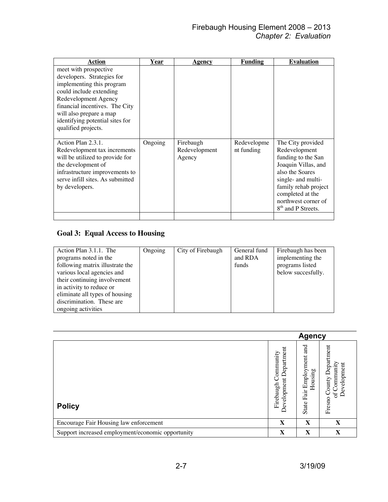| Action                                                                                                                                                                                                                                                     | Year    | <u>Agency</u>                        | <b>Funding</b>            | <b>Evaluation</b>                                                                                                                                                                                                             |
|------------------------------------------------------------------------------------------------------------------------------------------------------------------------------------------------------------------------------------------------------------|---------|--------------------------------------|---------------------------|-------------------------------------------------------------------------------------------------------------------------------------------------------------------------------------------------------------------------------|
| meet with prospective<br>developers. Strategies for<br>implementing this program<br>could include extending<br>Redevelopment Agency<br>financial incentives. The City<br>will also prepare a map<br>identifying potential sites for<br>qualified projects. |         |                                      |                           |                                                                                                                                                                                                                               |
| Action Plan 2.3.1.<br>Redevelopment tax increments<br>will be utilized to provide for<br>the development of<br>infrastructure improvements to<br>serve infill sites. As submitted<br>by developers.                                                        | Ongoing | Firebaugh<br>Redevelopment<br>Agency | Redevelopme<br>nt funding | The City provided<br>Redevelopment<br>funding to the San<br>Joaquin Villas, and<br>also the Soares<br>single- and multi-<br>family rehab project<br>completed at the<br>northwest corner of<br>8 <sup>th</sup> and P Streets. |

## **Goal 3: Equal Access to Housing**

| Action Plan 3.1.1. The          | Ongoing | City of Firebaugh | General fund | Firebaugh has been |
|---------------------------------|---------|-------------------|--------------|--------------------|
| programs noted in the           |         |                   | and RDA      | implementing the   |
| following matrix illustrate the |         |                   | funds        | programs listed    |
| various local agencies and      |         |                   |              | below succesfully. |
| their continuing involvement    |         |                   |              |                    |
| in activity to reduce or        |         |                   |              |                    |
| eliminate all types of housing  |         |                   |              |                    |
| discrimination. These are       |         |                   |              |                    |
| ongoing activities              |         |                   |              |                    |

|                                                   |                                                            | <b>Agency</b>                              |                                                                        |
|---------------------------------------------------|------------------------------------------------------------|--------------------------------------------|------------------------------------------------------------------------|
| <b>Policy</b>                                     | ommunity<br>epartme<br>≘<br>Ξ<br>Firebaugh<br>velopme<br>٥ | and<br>Fair Employment<br>Housing<br>State | Department<br>Community<br>Development<br>County<br>$\sigma$<br>Fresno |
| Encourage Fair Housing law enforcement            | $\mathbf X$                                                | X                                          | X                                                                      |
| Support increased employment/economic opportunity | X                                                          | X                                          | X                                                                      |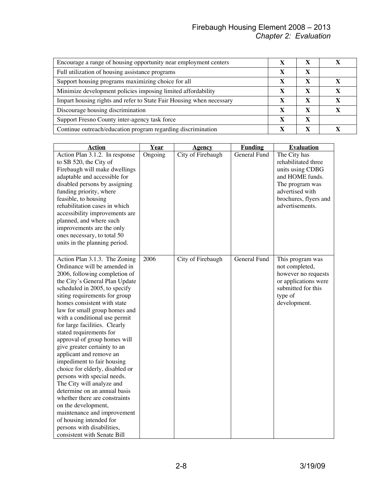#### Firebaugh Housing Element 2008 – 2013 *Chapter 2: Evaluation*

| Encourage a range of housing opportunity near employment centers     |   |   |  |
|----------------------------------------------------------------------|---|---|--|
| Full utilization of housing assistance programs                      |   |   |  |
| Support housing programs maximizing choice for all                   | X |   |  |
| Minimize development policies imposing limited affordability         | x | X |  |
| Impart housing rights and refer to State Fair Housing when necessary | x | X |  |
| Discourage housing discrimination                                    | X | X |  |
| Support Fresno County inter-agency task force                        | X | X |  |
| Continue outreach/education program regarding discrimination         | X | X |  |

| <b>Action</b>                                                                             | Year    | <b>Agency</b>     | <b>Funding</b> | <b>Evaluation</b>                                       |
|-------------------------------------------------------------------------------------------|---------|-------------------|----------------|---------------------------------------------------------|
| Action Plan 3.1.2. In response<br>to SB 520, the City of<br>Firebaugh will make dwellings | Ongoing | City of Firebaugh | General Fund   | The City has<br>rehabilitated three<br>units using CDBG |
| adaptable and accessible for                                                              |         |                   |                | and HOME funds.                                         |
| disabled persons by assigning                                                             |         |                   |                | The program was                                         |
| funding priority, where                                                                   |         |                   |                | advertised with                                         |
| feasible, to housing                                                                      |         |                   |                | brochures, flyers and                                   |
| rehabilitation cases in which<br>accessibility improvements are                           |         |                   |                | advertisements.                                         |
| planned, and where such                                                                   |         |                   |                |                                                         |
| improvements are the only                                                                 |         |                   |                |                                                         |
| ones necessary, to total 50                                                               |         |                   |                |                                                         |
| units in the planning period.                                                             |         |                   |                |                                                         |
|                                                                                           |         |                   |                |                                                         |
| Action Plan 3.1.3. The Zoning                                                             | 2006    | City of Firebaugh | General Fund   | This program was                                        |
| Ordinance will be amended in                                                              |         |                   |                | not completed,                                          |
| 2006, following completion of                                                             |         |                   |                | however no requests                                     |
| the City's General Plan Update                                                            |         |                   |                | or applications were                                    |
| scheduled in 2005, to specify                                                             |         |                   |                | submitted for this                                      |
| siting requirements for group                                                             |         |                   |                | type of                                                 |
| homes consistent with state                                                               |         |                   |                | development.                                            |
| law for small group homes and<br>with a conditional use permit                            |         |                   |                |                                                         |
| for large facilities. Clearly                                                             |         |                   |                |                                                         |
| stated requirements for                                                                   |         |                   |                |                                                         |
| approval of group homes will                                                              |         |                   |                |                                                         |
| give greater certainty to an                                                              |         |                   |                |                                                         |
| applicant and remove an                                                                   |         |                   |                |                                                         |
| impediment to fair housing                                                                |         |                   |                |                                                         |
| choice for elderly, disabled or                                                           |         |                   |                |                                                         |
| persons with special needs.                                                               |         |                   |                |                                                         |
| The City will analyze and                                                                 |         |                   |                |                                                         |
| determine on an annual basis                                                              |         |                   |                |                                                         |
| whether there are constraints                                                             |         |                   |                |                                                         |
| on the development,                                                                       |         |                   |                |                                                         |
| maintenance and improvement                                                               |         |                   |                |                                                         |
| of housing intended for                                                                   |         |                   |                |                                                         |
| persons with disabilities,                                                                |         |                   |                |                                                         |
| consistent with Senate Bill                                                               |         |                   |                |                                                         |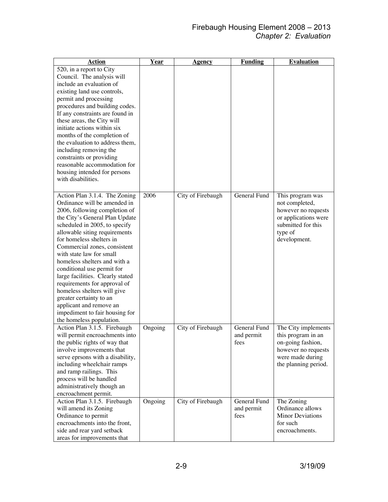| <b>Action</b>                                                  | Year    | <u>Agency</u>     | <b>Funding</b> | <b>Evaluation</b>       |
|----------------------------------------------------------------|---------|-------------------|----------------|-------------------------|
| 520, in a report to City                                       |         |                   |                |                         |
| Council. The analysis will                                     |         |                   |                |                         |
| include an evaluation of                                       |         |                   |                |                         |
| existing land use controls,                                    |         |                   |                |                         |
| permit and processing                                          |         |                   |                |                         |
| procedures and building codes.                                 |         |                   |                |                         |
| If any constraints are found in                                |         |                   |                |                         |
| these areas, the City will                                     |         |                   |                |                         |
| initiate actions within six                                    |         |                   |                |                         |
| months of the completion of<br>the evaluation to address them, |         |                   |                |                         |
| including removing the                                         |         |                   |                |                         |
| constraints or providing                                       |         |                   |                |                         |
| reasonable accommodation for                                   |         |                   |                |                         |
| housing intended for persons                                   |         |                   |                |                         |
| with disabilities.                                             |         |                   |                |                         |
|                                                                |         |                   |                |                         |
| Action Plan 3.1.4. The Zoning                                  | 2006    | City of Firebaugh | General Fund   | This program was        |
| Ordinance will be amended in                                   |         |                   |                | not completed,          |
| 2006, following completion of                                  |         |                   |                | however no requests     |
| the City's General Plan Update                                 |         |                   |                | or applications were    |
| scheduled in 2005, to specify                                  |         |                   |                | submitted for this      |
| allowable siting requirements                                  |         |                   |                | type of                 |
| for homeless shelters in                                       |         |                   |                | development.            |
| Commercial zones, consistent                                   |         |                   |                |                         |
| with state law for small                                       |         |                   |                |                         |
| homeless shelters and with a                                   |         |                   |                |                         |
| conditional use permit for                                     |         |                   |                |                         |
| large facilities. Clearly stated                               |         |                   |                |                         |
| requirements for approval of                                   |         |                   |                |                         |
| homeless shelters will give                                    |         |                   |                |                         |
| greater certainty to an                                        |         |                   |                |                         |
| applicant and remove an                                        |         |                   |                |                         |
| impediment to fair housing for                                 |         |                   |                |                         |
| the homeless population.                                       |         |                   |                |                         |
| Action Plan 3.1.5. Firebaugh                                   | Ongoing | City of Firebaugh | General Fund   | The City implements     |
| will permit encroachments into                                 |         |                   | and permit     | this program in an      |
| the public rights of way that                                  |         |                   | fees           | on-going fashion,       |
| involve improvements that                                      |         |                   |                | however no requests     |
| serve eprsons with a disability,                               |         |                   |                | were made during        |
| including wheelchair ramps                                     |         |                   |                | the planning period.    |
| and ramp railings. This                                        |         |                   |                |                         |
| process will be handled                                        |         |                   |                |                         |
| administratively though an<br>encroachment permit.             |         |                   |                |                         |
|                                                                |         |                   | General Fund   | The Zoning              |
| Action Plan 3.1.5. Firebaugh<br>will amend its Zoning          | Ongoing | City of Firebaugh | and permit     | Ordinance allows        |
| Ordinance to permit                                            |         |                   | fees           | <b>Minor Deviations</b> |
| encroachments into the front,                                  |         |                   |                | for such                |
| side and rear yard setback                                     |         |                   |                | encroachments.          |
| areas for improvements that                                    |         |                   |                |                         |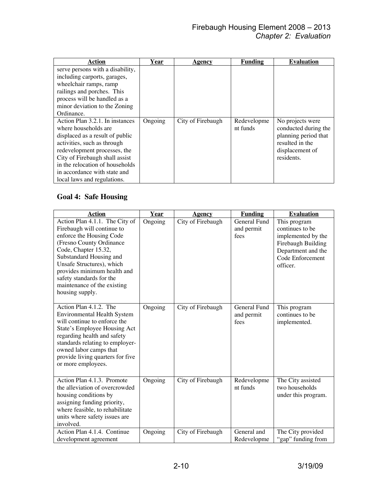| Action                                                                                                                                                                                                                                                                                        | Year    | <u>Agency</u>     | <b>Funding</b>          | <b>Evaluation</b>                                                                                                    |
|-----------------------------------------------------------------------------------------------------------------------------------------------------------------------------------------------------------------------------------------------------------------------------------------------|---------|-------------------|-------------------------|----------------------------------------------------------------------------------------------------------------------|
| serve persons with a disability,<br>including carports, garages,<br>wheelchair ramps, ramp<br>railings and porches. This<br>process will be handled as a<br>minor deviation to the Zoning                                                                                                     |         |                   |                         |                                                                                                                      |
| Ordinance.                                                                                                                                                                                                                                                                                    |         |                   |                         |                                                                                                                      |
| Action Plan 3.2.1. In instances<br>where households are<br>displaced as a result of public<br>activities, such as through<br>redevelopment processes, the<br>City of Firebaugh shall assist<br>in the relocation of households<br>in accordance with state and<br>local laws and regulations. | Ongoing | City of Firebaugh | Redevelopme<br>nt funds | No projects were<br>conducted during the<br>planning period that<br>resulted in the<br>displacement of<br>residents. |

# **Goal 4: Safe Housing**

| <b>Action</b>                                           | Year    | Agency            | <b>Funding</b> | <b>Evaluation</b>   |
|---------------------------------------------------------|---------|-------------------|----------------|---------------------|
| Action Plan 4.1.1. The City of                          | Ongoing | City of Firebaugh | General Fund   | This program        |
| Firebaugh will continue to                              |         |                   | and permit     | continues to be     |
| enforce the Housing Code                                |         |                   | fees           | implemented by the  |
| (Fresno County Ordinance                                |         |                   |                | Firebaugh Building  |
| Code, Chapter 15.32,                                    |         |                   |                | Department and the  |
| Substandard Housing and                                 |         |                   |                | Code Enforcement    |
| Unsafe Structures), which                               |         |                   |                | officer.            |
| provides minimum health and                             |         |                   |                |                     |
| safety standards for the<br>maintenance of the existing |         |                   |                |                     |
| housing supply.                                         |         |                   |                |                     |
|                                                         |         |                   |                |                     |
| Action Plan 4.1.2. The                                  | Ongoing | City of Firebaugh | General Fund   | This program        |
| <b>Environmental Health System</b>                      |         |                   | and permit     | continues to be     |
| will continue to enforce the                            |         |                   | fees           | implemented.        |
| State's Employee Housing Act                            |         |                   |                |                     |
| regarding health and safety                             |         |                   |                |                     |
| standards relating to employer-                         |         |                   |                |                     |
| owned labor camps that                                  |         |                   |                |                     |
| provide living quarters for five                        |         |                   |                |                     |
| or more employees.                                      |         |                   |                |                     |
|                                                         |         |                   |                |                     |
| Action Plan 4.1.3. Promote                              | Ongoing | City of Firebaugh | Redevelopme    | The City assisted   |
| the alleviation of overcrowded                          |         |                   | nt funds       | two households      |
| housing conditions by                                   |         |                   |                | under this program. |
| assigning funding priority,                             |         |                   |                |                     |
| where feasible, to rehabilitate                         |         |                   |                |                     |
| units where safety issues are                           |         |                   |                |                     |
| involved.                                               |         |                   |                |                     |
| Action Plan 4.1.4. Continue                             | Ongoing | City of Firebaugh | General and    | The City provided   |
| development agreement                                   |         |                   | Redevelopme    | "gap" funding from  |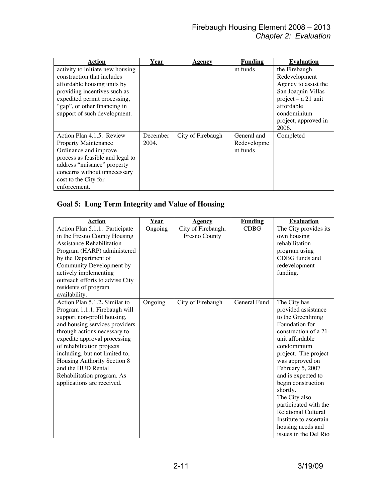| Action                           | Year     | Agency            | Funding     | <b>Evaluation</b>     |
|----------------------------------|----------|-------------------|-------------|-----------------------|
| activity to initiate new housing |          |                   | nt funds    | the Firebaugh         |
| construction that includes       |          |                   |             | Redevelopment         |
| affordable housing units by      |          |                   |             | Agency to assist the  |
| providing incentives such as     |          |                   |             | San Joaquin Villas    |
| expedited permit processing,     |          |                   |             | $project - a 21$ unit |
| "gap", or other financing in     |          |                   |             | affordable            |
| support of such development.     |          |                   |             | condominium           |
|                                  |          |                   |             | project, approved in  |
|                                  |          |                   |             | 2006.                 |
| Action Plan 4.1.5. Review        | December | City of Firebaugh | General and | Completed             |
| <b>Property Maintenance</b>      | 2004.    |                   | Redevelopme |                       |
| Ordinance and improve            |          |                   | nt funds    |                       |
| process as feasible and legal to |          |                   |             |                       |
| address "nuisance" property      |          |                   |             |                       |
| concerns without unnecessary     |          |                   |             |                       |
| cost to the City for             |          |                   |             |                       |
| enforcement.                     |          |                   |             |                       |

# **Goal 5: Long Term Integrity and Value of Housing**

| <b>Action</b>                    | Year    | <b>Agency</b>      | <b>Funding</b> | <b>Evaluation</b>          |
|----------------------------------|---------|--------------------|----------------|----------------------------|
| Action Plan 5.1.1. Participate   | Ongoing | City of Firebaugh, | <b>CDBG</b>    | The City provides its      |
| in the Fresno County Housing     |         | Fresno County      |                | own housing                |
| <b>Assistance Rehabilitation</b> |         |                    |                | rehabilitation             |
| Program (HARP) administered      |         |                    |                | program using              |
| by the Department of             |         |                    |                | CDBG funds and             |
| Community Development by         |         |                    |                | redevelopment              |
| actively implementing            |         |                    |                | funding.                   |
| outreach efforts to advise City  |         |                    |                |                            |
| residents of program             |         |                    |                |                            |
| availability.                    |         |                    |                |                            |
| Action Plan 5.1.2. Similar to    | Ongoing | City of Firebaugh  | General Fund   | The City has               |
| Program 1.1.1, Firebaugh will    |         |                    |                | provided assistance        |
| support non-profit housing,      |         |                    |                | to the Greenlining         |
| and housing services providers   |         |                    |                | Foundation for             |
| through actions necessary to     |         |                    |                | construction of a 21-      |
| expedite approval processing     |         |                    |                | unit affordable            |
| of rehabilitation projects       |         |                    |                | condominium                |
| including, but not limited to,   |         |                    |                | project. The project       |
| Housing Authority Section 8      |         |                    |                | was approved on            |
| and the HUD Rental               |         |                    |                | February 5, 2007           |
| Rehabilitation program. As       |         |                    |                | and is expected to         |
| applications are received.       |         |                    |                | begin construction         |
|                                  |         |                    |                | shortly.                   |
|                                  |         |                    |                | The City also              |
|                                  |         |                    |                | participated with the      |
|                                  |         |                    |                | <b>Relational Cultural</b> |
|                                  |         |                    |                | Institute to ascertain     |
|                                  |         |                    |                | housing needs and          |
|                                  |         |                    |                | issues in the Del Rio      |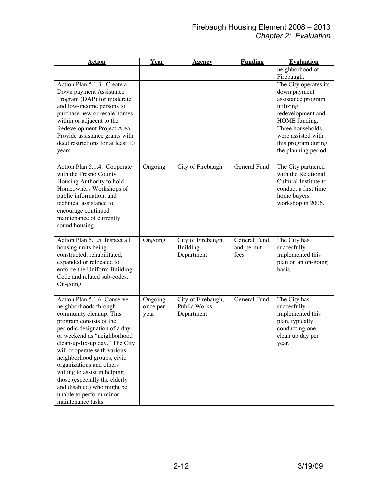| <u>Action</u>                     | <b>Year</b>    | <b>Agency</b>       | <b>Funding</b>      | <b>Evaluation</b>     |
|-----------------------------------|----------------|---------------------|---------------------|-----------------------|
|                                   |                |                     |                     | neighborhood of       |
|                                   |                |                     |                     | Firebaugh.            |
| Action Plan 5.1.3. Create a       |                |                     |                     | The City operates its |
| Down payment Assistance           |                |                     |                     | down payment          |
| Program (DAP) for moderate        |                |                     |                     | assistance program    |
| and low-income persons to         |                |                     |                     | utilizing             |
| purchase new or resale homes      |                |                     |                     | redevelopment and     |
| within or adjacent to the         |                |                     |                     | HOME funding.         |
| Redevelopment Project Area.       |                |                     |                     | Three households      |
| Provide assistance grants with    |                |                     |                     | were assisted with    |
| deed restrictions for at least 10 |                |                     |                     | this program during   |
| years.                            |                |                     |                     | the planning period.  |
|                                   |                |                     |                     |                       |
| Action Plan 5.1.4. Cooperate      | Ongoing        | City of Firebaugh   | General Fund        | The City partnered    |
| with the Fresno County            |                |                     |                     | with the Relational   |
| Housing Authority to hold         |                |                     |                     | Cultural Institute to |
| Homeowners Workshops of           |                |                     |                     | conduct a first time  |
| public information, and           |                |                     |                     | home buyers           |
| technical assistance to           |                |                     |                     | workshop in 2006.     |
| encourage continued               |                |                     |                     |                       |
| maintenance of currently          |                |                     |                     |                       |
| sound housing                     |                |                     |                     |                       |
|                                   |                |                     |                     |                       |
| Action Plan 5.1.5. Inspect all    | Ongoing        | City of Firebaugh,  | <b>General Fund</b> | The City has          |
| housing units being               |                | <b>Building</b>     | and permit          | succesfully           |
| constructed, rehabilitated,       |                | Department          | fees                | implemented this      |
| expanded or relocated to          |                |                     |                     | plan on an on-going   |
| enforce the Uniform Building      |                |                     |                     | basis.                |
| Code and related sub-codes.       |                |                     |                     |                       |
| On-going.                         |                |                     |                     |                       |
|                                   |                |                     |                     |                       |
| Action Plan 5.1.6. Conserve       | $O$ ngoing $-$ | City of Firebaugh,  | General Fund        | The City has          |
| neighborhoods through             | once per       | <b>Public Works</b> |                     | succesfully           |
| community cleanup. This           | year.          | Department          |                     | implemented this      |
| program consists of the           |                |                     |                     | plan, typically       |
| periodic designation of a day     |                |                     |                     | conducting one        |
| or weekend as "neighborhood       |                |                     |                     | clean up day per      |
| clean-up/fix-up day." The City    |                |                     |                     | year.                 |
| will cooperate with various       |                |                     |                     |                       |
| neighborhood groups, civic        |                |                     |                     |                       |
| organizations and others          |                |                     |                     |                       |
| willing to assist in helping      |                |                     |                     |                       |
| those (especially the elderly     |                |                     |                     |                       |
| and disabled) who might be        |                |                     |                     |                       |
| unable to perform minor           |                |                     |                     |                       |
| maintenance tasks.                |                |                     |                     |                       |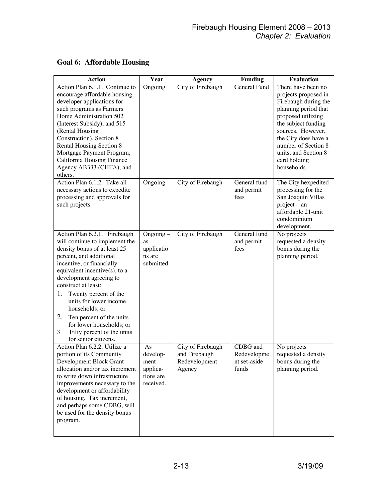| <b>Action</b>                                                                                                                                                                                                                                                                                                                                                                                                                                 | Year                                                         | <b>Agency</b>                                                 | <b>Funding</b>                                   | <b>Evaluation</b>                                                                                                                                                                                                                                                  |
|-----------------------------------------------------------------------------------------------------------------------------------------------------------------------------------------------------------------------------------------------------------------------------------------------------------------------------------------------------------------------------------------------------------------------------------------------|--------------------------------------------------------------|---------------------------------------------------------------|--------------------------------------------------|--------------------------------------------------------------------------------------------------------------------------------------------------------------------------------------------------------------------------------------------------------------------|
| Action Plan 6.1.1. Continue to<br>encourage affordable housing<br>developer applications for<br>such programs as Farmers<br>Home Administration 502<br>(Interest Subsidy), and 515<br>(Rental Housing<br>Construction), Section 8<br>Rental Housing Section 8<br>Mortgage Payment Program,<br>California Housing Finance<br>Agency AB333 (CHFA), and<br>others.                                                                               | Ongoing                                                      | City of Firebaugh                                             | General Fund                                     | There have been no<br>projects proposed in<br>Firebaugh during the<br>planning period that<br>proposed utilizing<br>the subject funding<br>sources. However,<br>the City does have a<br>number of Section 8<br>units, and Section 8<br>card holding<br>households. |
| Action Plan 6.1.2. Take all<br>necessary actions to expedite<br>processing and approvals for<br>such projects.                                                                                                                                                                                                                                                                                                                                | Ongoing                                                      | City of Firebaugh                                             | General fund<br>and permit<br>fees               | The City hexpedited<br>processing for the<br>San Joaquin Villas<br>$project - an$<br>affordable 21-unit<br>condominium<br>development.                                                                                                                             |
| Action Plan 6.2.1. Firebaugh<br>will continue to implement the<br>density bonus of at least 25<br>percent, and additional<br>incentive, or financially<br>equivalent incentive(s), to a<br>development agreeing to<br>construct at least:<br>1.<br>Twenty percent of the<br>units for lower income<br>households; or<br>2.<br>Ten percent of the units<br>for lower households; or<br>3<br>Fifty percent of the units<br>for senior citizens. | $Ongoing -$<br>as<br>applicatio<br>ns are<br>submitted       | City of Firebaugh                                             | General fund<br>and permit<br>fees               | No projects<br>requested a density<br>bonus during the<br>planning period.                                                                                                                                                                                         |
| Action Plan 6.2.2. Utilize a<br>portion of its Community<br>Development Block Grant<br>allocation and/or tax increment<br>to write down infrastructure<br>improvements necessary to the<br>development or affordability<br>of housing. Tax increment,<br>and perhaps some CDBG, will<br>be used for the density bonus<br>program.                                                                                                             | As<br>develop-<br>ment<br>applica-<br>tions are<br>received. | City of Firebaugh<br>and Firebaugh<br>Redevelopment<br>Agency | CDBG and<br>Redevelopme<br>nt set-aside<br>funds | No projects<br>requested a density<br>bonus during the<br>planning period.                                                                                                                                                                                         |

# **Goal 6: Affordable Housing**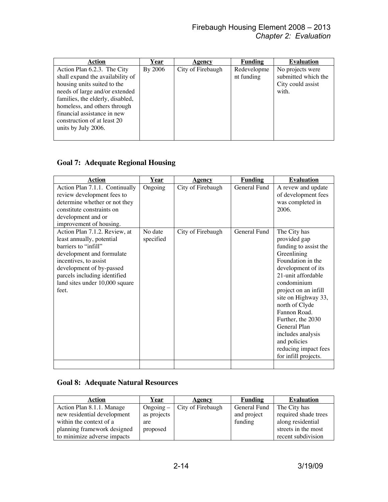| Action                           | <u>Year</u> | Agency            | Funding     | <b>Evaluation</b>   |
|----------------------------------|-------------|-------------------|-------------|---------------------|
| Action Plan 6.2.3. The City      | By 2006     | City of Firebaugh | Redevelopme | No projects were    |
| shall expand the availability of |             |                   | nt funding  | submitted which the |
| housing units suited to the      |             |                   |             | City could assist   |
| needs of large and/or extended   |             |                   |             | with.               |
| families, the elderly, disabled, |             |                   |             |                     |
| homeless, and others through     |             |                   |             |                     |
| financial assistance in new      |             |                   |             |                     |
| construction of at least 20      |             |                   |             |                     |
| units by July 2006.              |             |                   |             |                     |
|                                  |             |                   |             |                     |

### **Goal 7: Adequate Regional Housing**

| <b>Action</b>                                                                                                                                                                                                                                   | Year                 | <b>Agency</b>     | <b>Funding</b> | <b>Evaluation</b>                                                                                                                                                                                                                                                                                                                                               |
|-------------------------------------------------------------------------------------------------------------------------------------------------------------------------------------------------------------------------------------------------|----------------------|-------------------|----------------|-----------------------------------------------------------------------------------------------------------------------------------------------------------------------------------------------------------------------------------------------------------------------------------------------------------------------------------------------------------------|
| Action Plan 7.1.1. Continually<br>review development fees to<br>determine whether or not they<br>constitute constraints on<br>development and or<br>improvement of housing.                                                                     | Ongoing              | City of Firebaugh | General Fund   | A revew and update<br>of development fees<br>was completed in<br>2006.                                                                                                                                                                                                                                                                                          |
| Action Plan 7.1.2. Review, at<br>least annually, potential<br>barriers to "infill"<br>development and formulate<br>incentives, to assist<br>development of by-passed<br>parcels including identified<br>land sites under 10,000 square<br>feet. | No date<br>specified | City of Firebaugh | General Fund   | The City has<br>provided gap<br>funding to assist the<br>Greenlining<br>Foundation in the<br>development of its<br>21-unit affordable<br>condominium<br>project on an infill<br>site on Highway 33,<br>north of Clyde<br>Fannon Road.<br>Further, the 2030<br>General Plan<br>includes analysis<br>and policies<br>reducing impact fees<br>for infill projects. |
|                                                                                                                                                                                                                                                 |                      |                   |                |                                                                                                                                                                                                                                                                                                                                                                 |

### **Goal 8: Adequate Natural Resources**

| Action                      | Year        | <b>Agency</b>     | <b>Funding</b> | <b>Evaluation</b>    |
|-----------------------------|-------------|-------------------|----------------|----------------------|
| Action Plan 8.1.1. Manage   | Ongoing $-$ | City of Firebaugh | General Fund   | The City has         |
| new residential development | as projects |                   | and project    | required shade trees |
| within the context of a     | are         |                   | funding        | along residential    |
| planning framework designed | proposed    |                   |                | streets in the most  |
| to minimize adverse impacts |             |                   |                | recent subdivision   |